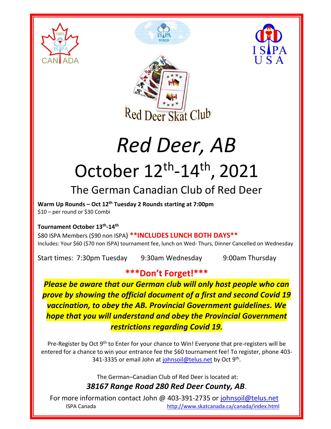







# *Red Deer, AB* October 12<sup>th</sup>-14<sup>th</sup>, 2021

## The German Canadian Club of Red Deer

**Warm Up Rounds – Oct 12th Tuesday 2 Rounds starting at 7:00pm** \$10 – per round or \$30 Combi

#### **Tournament October 13th -14th**

\$80 ISPA Members (\$90 non ISPA) **\*\*INCLUDES LUNCH BOTH DAYS\*\*** Includes: Your \$60 (\$70 non ISPA) tournament fee, lunch on Wed- Thurs, Dinner Cancelled on Wednesday

Start times: 7:30pm Tuesday 9:30am Wednesday 9:00am Thursday

### **\*\*\*Don't Forget!\*\*\***

*Please be aware that our German club will only host people who can prove by showing the official document of a first and second Covid 19 vaccination, to obey the AB. Provincial Government guidelines. We hope that you will understand and obey the Provincial Government restrictions regarding Covid 19.*

Pre-Register by Oct 9<sup>th</sup> to Enter for your chance to Win! Everyone that pre-registers will be entered for a chance to win your entrance fee the \$60 tournament fee! To register, phone 403 341-3335 or email John at [johnsoil@telus.net](mailto:johnsoil@telus.net) by Oct 9<sup>th</sup>.

> The German–Canadian Club of Red Deer is located at: *38167 Range Road 280 Red Deer County, AB*.

For more information contact John @ 403-391-2735 or [johnsoil@telus.net](mailto:johnsoil@telus.net) ISPA Canada <http://www.skatcanada.ca/canada/index.html>